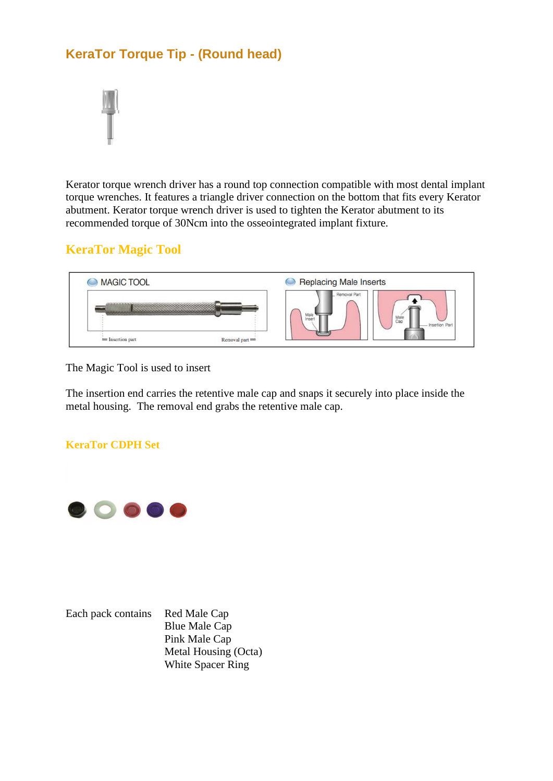## **KeraTor Torque Tip - (Round head)**



Kerator torque wrench driver has a round top connection compatible with most dental implant torque wrenches. It features a triangle driver connection on the bottom that fits every Kerator abutment. Kerator torque wrench driver is used to tighten the Kerator abutment to its recommended torque of 30Ncm into the osseointegrated implant fixture.

## **KeraTor Magic Tool**



The Magic Tool is used to insert

The insertion end carries the retentive male cap and snaps it securely into place inside the metal housing. The removal end grabs the retentive male cap.

## **KeraTor CDPH Set**



Each pack contains Red Male Cap

Blue Male Cap Pink Male Cap Metal Housing (Octa) White Spacer Ring